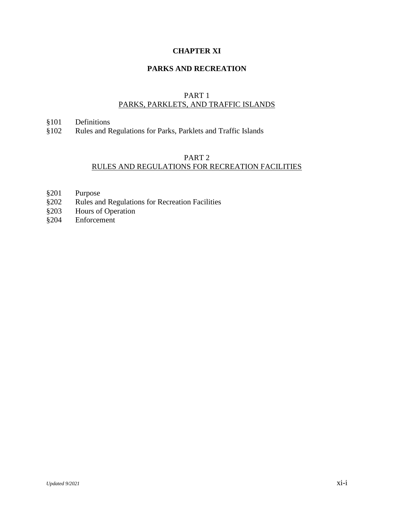# **CHAPTER XI**

# **PARKS AND RECREATION**

## PART 1 PARKS, PARKLETS, AND TRAFFIC ISLANDS

## §101 Definitions

§102 Rules and Regulations for Parks, Parklets and Traffic Islands

# PART 2 RULES AND REGULATIONS FOR RECREATION FACILITIES

- §201 Purpose
- §202 Rules and Regulations for Recreation Facilities<br>§203 Hours of Operation
- Hours of Operation
- §204 Enforcement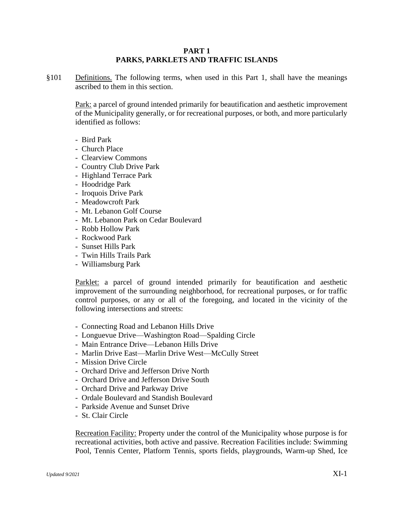### **PART 1 PARKS, PARKLETS AND TRAFFIC ISLANDS**

§101 Definitions. The following terms, when used in this Part 1, shall have the meanings ascribed to them in this section.

Park: a parcel of ground intended primarily for beautification and aesthetic improvement of the Municipality generally, or for recreational purposes, or both, and more particularly identified as follows:

- Bird Park
- Church Place
- Clearview Commons
- Country Club Drive Park
- Highland Terrace Park
- Hoodridge Park
- Iroquois Drive Park
- Meadowcroft Park
- Mt. Lebanon Golf Course
- Mt. Lebanon Park on Cedar Boulevard
- Robb Hollow Park
- Rockwood Park
- Sunset Hills Park
- Twin Hills Trails Park
- Williamsburg Park

Parklet: a parcel of ground intended primarily for beautification and aesthetic improvement of the surrounding neighborhood, for recreational purposes, or for traffic control purposes, or any or all of the foregoing, and located in the vicinity of the following intersections and streets:

- Connecting Road and Lebanon Hills Drive
- Longuevue Drive—Washington Road—Spalding Circle
- Main Entrance Drive—Lebanon Hills Drive
- Marlin Drive East—Marlin Drive West—McCully Street
- Mission Drive Circle
- Orchard Drive and Jefferson Drive North
- Orchard Drive and Jefferson Drive South
- Orchard Drive and Parkway Drive
- Ordale Boulevard and Standish Boulevard
- Parkside Avenue and Sunset Drive
- St. Clair Circle

Recreation Facility: Property under the control of the Municipality whose purpose is for recreational activities, both active and passive. Recreation Facilities include: Swimming Pool, Tennis Center, Platform Tennis, sports fields, playgrounds, Warm-up Shed, Ice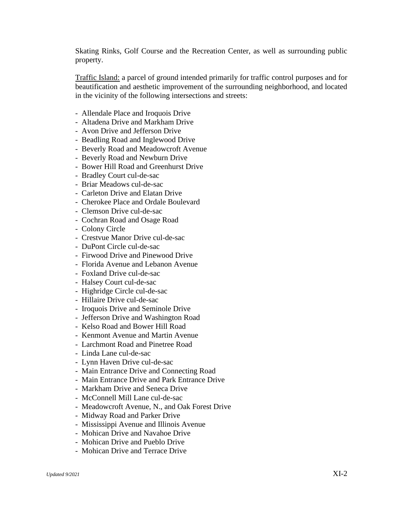Skating Rinks, Golf Course and the Recreation Center, as well as surrounding public property.

Traffic Island: a parcel of ground intended primarily for traffic control purposes and for beautification and aesthetic improvement of the surrounding neighborhood, and located in the vicinity of the following intersections and streets:

- Allendale Place and Iroquois Drive
- Altadena Drive and Markham Drive
- Avon Drive and Jefferson Drive
- Beadling Road and Inglewood Drive
- Beverly Road and Meadowcroft Avenue
- Beverly Road and Newburn Drive
- Bower Hill Road and Greenhurst Drive
- Bradley Court cul-de-sac
- Briar Meadows cul-de-sac
- Carleton Drive and Elatan Drive
- Cherokee Place and Ordale Boulevard
- Clemson Drive cul-de-sac
- Cochran Road and Osage Road
- Colony Circle
- Crestvue Manor Drive cul-de-sac
- DuPont Circle cul-de-sac
- Firwood Drive and Pinewood Drive
- Florida Avenue and Lebanon Avenue
- Foxland Drive cul-de-sac
- Halsey Court cul-de-sac
- Highridge Circle cul-de-sac
- Hillaire Drive cul-de-sac
- Iroquois Drive and Seminole Drive
- Jefferson Drive and Washington Road
- Kelso Road and Bower Hill Road
- Kenmont Avenue and Martin Avenue
- Larchmont Road and Pinetree Road
- Linda Lane cul-de-sac
- Lynn Haven Drive cul-de-sac
- Main Entrance Drive and Connecting Road
- Main Entrance Drive and Park Entrance Drive
- Markham Drive and Seneca Drive
- McConnell Mill Lane cul-de-sac
- Meadowcroft Avenue, N., and Oak Forest Drive
- Midway Road and Parker Drive
- Mississippi Avenue and Illinois Avenue
- Mohican Drive and Navahoe Drive
- Mohican Drive and Pueblo Drive
- Mohican Drive and Terrace Drive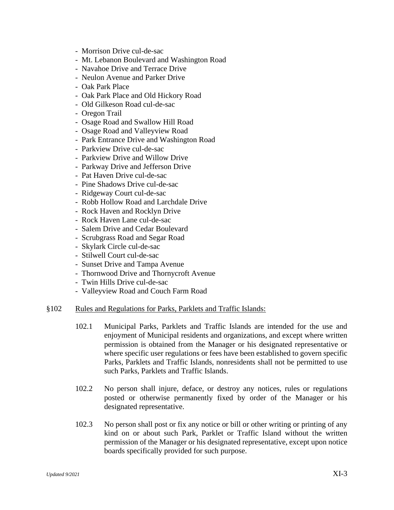- Morrison Drive cul-de-sac
- Mt. Lebanon Boulevard and Washington Road
- Navahoe Drive and Terrace Drive
- Neulon Avenue and Parker Drive
- Oak Park Place
- Oak Park Place and Old Hickory Road
- Old Gilkeson Road cul-de-sac
- Oregon Trail
- Osage Road and Swallow Hill Road
- Osage Road and Valleyview Road
- Park Entrance Drive and Washington Road
- Parkview Drive cul-de-sac
- Parkview Drive and Willow Drive
- Parkway Drive and Jefferson Drive
- Pat Haven Drive cul-de-sac
- Pine Shadows Drive cul-de-sac
- Ridgeway Court cul-de-sac
- Robb Hollow Road and Larchdale Drive
- Rock Haven and Rocklyn Drive
- Rock Haven Lane cul-de-sac
- Salem Drive and Cedar Boulevard
- Scrubgrass Road and Segar Road
- Skylark Circle cul-de-sac
- Stilwell Court cul-de-sac
- Sunset Drive and Tampa Avenue
- Thornwood Drive and Thornycroft Avenue
- Twin Hills Drive cul-de-sac
- Valleyview Road and Couch Farm Road

### §102 Rules and Regulations for Parks, Parklets and Traffic Islands:

- 102.1 Municipal Parks, Parklets and Traffic Islands are intended for the use and enjoyment of Municipal residents and organizations, and except where written permission is obtained from the Manager or his designated representative or where specific user regulations or fees have been established to govern specific Parks, Parklets and Traffic Islands, nonresidents shall not be permitted to use such Parks, Parklets and Traffic Islands.
- 102.2 No person shall injure, deface, or destroy any notices, rules or regulations posted or otherwise permanently fixed by order of the Manager or his designated representative.
- 102.3 No person shall post or fix any notice or bill or other writing or printing of any kind on or about such Park, Parklet or Traffic Island without the written permission of the Manager or his designated representative, except upon notice boards specifically provided for such purpose.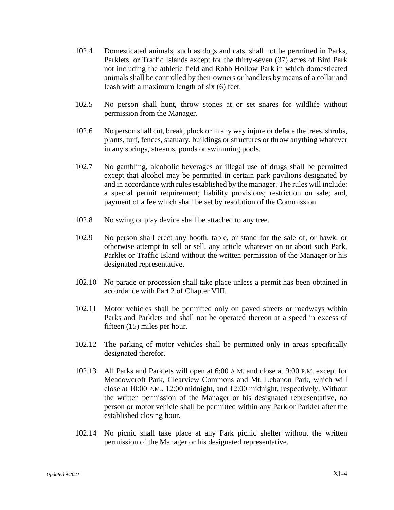- 102.4 Domesticated animals, such as dogs and cats, shall not be permitted in Parks, Parklets, or Traffic Islands except for the thirty-seven (37) acres of Bird Park not including the athletic field and Robb Hollow Park in which domesticated animals shall be controlled by their owners or handlers by means of a collar and leash with a maximum length of six (6) feet.
- 102.5 No person shall hunt, throw stones at or set snares for wildlife without permission from the Manager.
- 102.6 No person shall cut, break, pluck or in any way injure or deface the trees, shrubs, plants, turf, fences, statuary, buildings or structures or throw anything whatever in any springs, streams, ponds or swimming pools.
- 102.7 No gambling, alcoholic beverages or illegal use of drugs shall be permitted except that alcohol may be permitted in certain park pavilions designated by and in accordance with rules established by the manager. The rules will include: a special permit requirement; liability provisions; restriction on sale; and, payment of a fee which shall be set by resolution of the Commission.
- 102.8 No swing or play device shall be attached to any tree.
- 102.9 No person shall erect any booth, table, or stand for the sale of, or hawk, or otherwise attempt to sell or sell, any article whatever on or about such Park, Parklet or Traffic Island without the written permission of the Manager or his designated representative.
- 102.10 No parade or procession shall take place unless a permit has been obtained in accordance with Part 2 of Chapter VIII.
- 102.11 Motor vehicles shall be permitted only on paved streets or roadways within Parks and Parklets and shall not be operated thereon at a speed in excess of fifteen (15) miles per hour.
- 102.12 The parking of motor vehicles shall be permitted only in areas specifically designated therefor.
- 102.13 All Parks and Parklets will open at 6:00 A.M. and close at 9:00 P.M. except for Meadowcroft Park, Clearview Commons and Mt. Lebanon Park, which will close at 10:00 P.M., 12:00 midnight, and 12:00 midnight, respectively. Without the written permission of the Manager or his designated representative, no person or motor vehicle shall be permitted within any Park or Parklet after the established closing hour.
- 102.14 No picnic shall take place at any Park picnic shelter without the written permission of the Manager or his designated representative.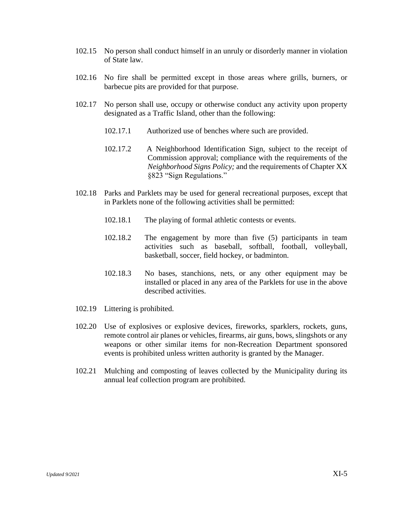- 102.15 No person shall conduct himself in an unruly or disorderly manner in violation of State law.
- 102.16 No fire shall be permitted except in those areas where grills, burners, or barbecue pits are provided for that purpose.
- 102.17 No person shall use, occupy or otherwise conduct any activity upon property designated as a Traffic Island, other than the following:
	- 102.17.1 Authorized use of benches where such are provided.
	- 102.17.2 A Neighborhood Identification Sign, subject to the receipt of Commission approval; compliance with the requirements of the *Neighborhood Signs Policy;* and the requirements of Chapter XX §823 "Sign Regulations."
- 102.18 Parks and Parklets may be used for general recreational purposes, except that in Parklets none of the following activities shall be permitted:
	- 102.18.1 The playing of formal athletic contests or events.
	- 102.18.2 The engagement by more than five (5) participants in team activities such as baseball, softball, football, volleyball, basketball, soccer, field hockey, or badminton.
	- 102.18.3 No bases, stanchions, nets, or any other equipment may be installed or placed in any area of the Parklets for use in the above described activities.
- 102.19 Littering is prohibited.
- 102.20 Use of explosives or explosive devices, fireworks, sparklers, rockets, guns, remote control air planes or vehicles, firearms, air guns, bows, slingshots or any weapons or other similar items for non-Recreation Department sponsored events is prohibited unless written authority is granted by the Manager.
- 102.21 Mulching and composting of leaves collected by the Municipality during its annual leaf collection program are prohibited.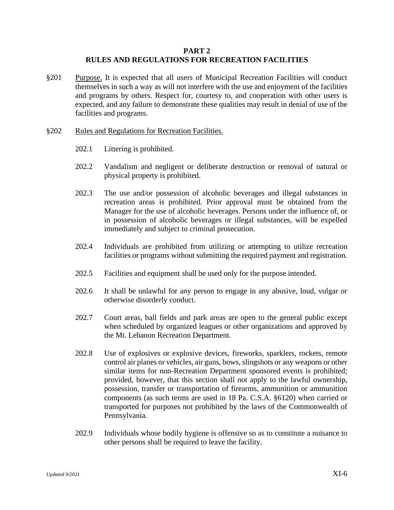### **PART 2 RULES AND REGULATIONS FOR RECREATION FACILITIES**

§201 Purpose. It is expected that all users of Municipal Recreation Facilities will conduct themselves in such a way as will not interfere with the use and enjoyment of the facilities and programs by others. Respect for, courtesy to, and cooperation with other users is expected, and any failure to demonstrate these qualities may result in denial of use of the facilities and programs.

#### §202 Rules and Regulations for Recreation Facilities.

- 202.1 Littering is prohibited.
- 202.2 Vandalism and negligent or deliberate destruction or removal of natural or physical property is prohibited.
- 202.3 The use and/or possession of alcoholic beverages and illegal substances in recreation areas is prohibited. Prior approval must be obtained from the Manager for the use of alcoholic beverages. Persons under the influence of, or in possession of alcoholic beverages or illegal substances, will be expelled immediately and subject to criminal prosecution.
- 202.4 Individuals are prohibited from utilizing or attempting to utilize recreation facilities or programs without submitting the required payment and registration.
- 202.5 Facilities and equipment shall be used only for the purpose intended.
- 202.6 It shall be unlawful for any person to engage in any abusive, loud, vulgar or otherwise disorderly conduct.
- 202.7 Court areas, ball fields and park areas are open to the general public except when scheduled by organized leagues or other organizations and approved by the Mt. Lebanon Recreation Department.
- 202.8 Use of explosives or explosive devices, fireworks, sparklers, rockets, remote control air planes or vehicles, air guns, bows, slingshots or any weapons or other similar items for non-Recreation Department sponsored events is prohibited; provided, however, that this section shall not apply to the lawful ownership, possession, transfer or transportation of firearms, ammunition or ammunition components (as such terms are used in 18 Pa. C.S.A. §6120) when carried or transported for purposes not prohibited by the laws of the Commonwealth of Pennsylvania.
- 202.9 Individuals whose bodily hygiene is offensive so as to constitute a nuisance to other persons shall be required to leave the facility.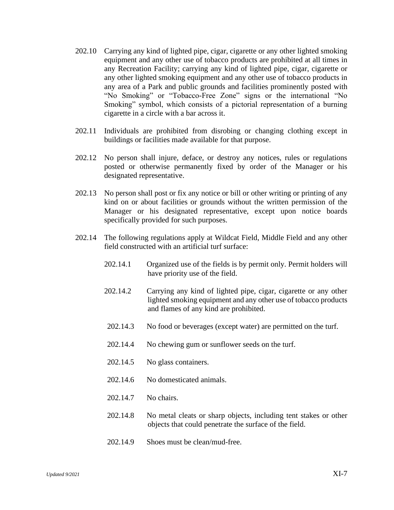- 202.10 Carrying any kind of lighted pipe, cigar, cigarette or any other lighted smoking equipment and any other use of tobacco products are prohibited at all times in any Recreation Facility; carrying any kind of lighted pipe, cigar, cigarette or any other lighted smoking equipment and any other use of tobacco products in any area of a Park and public grounds and facilities prominently posted with "No Smoking" or "Tobacco-Free Zone" signs or the international "No Smoking" symbol, which consists of a pictorial representation of a burning cigarette in a circle with a bar across it.
- 202.11 Individuals are prohibited from disrobing or changing clothing except in buildings or facilities made available for that purpose.
- 202.12 No person shall injure, deface, or destroy any notices, rules or regulations posted or otherwise permanently fixed by order of the Manager or his designated representative.
- 202.13 No person shall post or fix any notice or bill or other writing or printing of any kind on or about facilities or grounds without the written permission of the Manager or his designated representative, except upon notice boards specifically provided for such purposes.
- 202.14 The following regulations apply at Wildcat Field, Middle Field and any other field constructed with an artificial turf surface:
	- 202.14.1 Organized use of the fields is by permit only. Permit holders will have priority use of the field.
	- 202.14.2 Carrying any kind of lighted pipe, cigar, cigarette or any other lighted smoking equipment and any other use of tobacco products and flames of any kind are prohibited.
	- 202.14.3 No food or beverages (except water) are permitted on the turf.
	- 202.14.4 No chewing gum or sunflower seeds on the turf.
	- 202.14.5 No glass containers.
	- 202.14.6 No domesticated animals.
	- 202.14.7 No chairs.
	- 202.14.8 No metal cleats or sharp objects, including tent stakes or other objects that could penetrate the surface of the field.
	- 202.14.9 Shoes must be clean/mud-free.